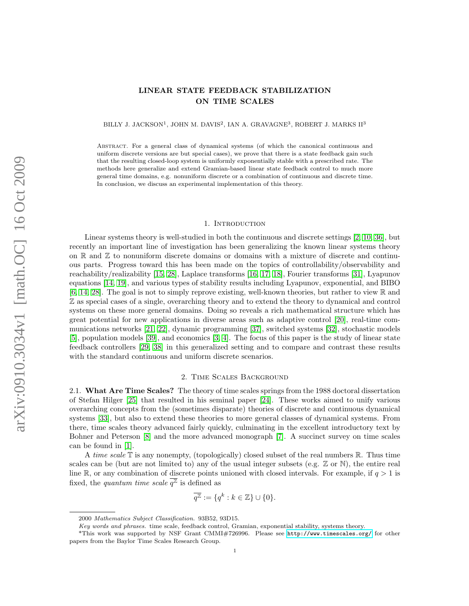# LINEAR STATE FEEDBACK STABILIZATION ON TIME SCALES

BILLY J. JACKSON<sup>1</sup>, JOHN M. DAVIS<sup>2</sup>, IAN A. GRAVAGNE<sup>3</sup>, ROBERT J. MARKS II<sup>3</sup>

Abstract. For a general class of dynamical systems (of which the canonical continuous and uniform discrete versions are but special cases), we prove that there is a state feedback gain such that the resulting closed-loop system is uniformly exponentially stable with a prescribed rate. The methods here generalize and extend Gramian-based linear state feedback control to much more general time domains, e.g. nonuniform discrete or a combination of continuous and discrete time. In conclusion, we discuss an experimental implementation of this theory.

### 1. Introduction

Linear systems theory is well-studied in both the continuous and discrete settings [\[2,](#page-13-0) [10,](#page-13-1) [36\]](#page-14-0), but recently an important line of investigation has been generalizing the known linear systems theory on  $\mathbb R$  and  $\mathbb Z$  to nonuniform discrete domains or domains with a mixture of discrete and continuous parts. Progress toward this has been made on the topics of controllability/observability and reachability/realizability [\[15,](#page-13-2) [28\]](#page-13-3), Laplace transforms [\[16,](#page-13-4) [17,](#page-13-5) [18\]](#page-13-6), Fourier transforms [\[31\]](#page-13-7), Lyapunov equations [\[14,](#page-13-8) [19\]](#page-13-9), and various types of stability results including Lyapunov, exponential, and BIBO [\[6,](#page-13-10) [14,](#page-13-8) [28\]](#page-13-3). The goal is not to simply reprove existing, well-known theories, but rather to view R and Z as special cases of a single, overarching theory and to extend the theory to dynamical and control systems on these more general domains. Doing so reveals a rich mathematical structure which has great potential for new applications in diverse areas such as adaptive control [\[20\]](#page-13-11), real-time communications networks [\[21,](#page-13-12) [22\]](#page-13-13), dynamic programming [\[37\]](#page-14-1), switched systems [\[32\]](#page-13-14), stochastic models [\[5\]](#page-13-15), population models [\[39\]](#page-14-2), and economics [\[3,](#page-13-16) [4\]](#page-13-17). The focus of this paper is the study of linear state feedback controllers [\[29,](#page-13-18) [38\]](#page-14-3) in this generalized setting and to compare and contrast these results with the standard continuous and uniform discrete scenarios.

## 2. Time Scales Background

2.1. What Are Time Scales? The theory of time scales springs from the 1988 doctoral dissertation of Stefan Hilger [\[25\]](#page-13-19) that resulted in his seminal paper [\[24\]](#page-13-20). These works aimed to unify various overarching concepts from the (sometimes disparate) theories of discrete and continuous dynamical systems [\[33\]](#page-13-21), but also to extend these theories to more general classes of dynamical systems. From there, time scales theory advanced fairly quickly, culminating in the excellent introductory text by Bohner and Peterson [\[8\]](#page-13-22) and the more advanced monograph [\[7\]](#page-13-23). A succinct survey on time scales can be found in [\[1\]](#page-13-24).

A time scale  $\mathbb T$  is any nonempty, (topologically) closed subset of the real numbers  $\mathbb R$ . Thus time scales can be (but are not limited to) any of the usual integer subsets (e.g.  $\mathbb Z$  or  $\mathbb N$ ), the entire real line R, or any combination of discrete points unioned with closed intervals. For example, if  $q > 1$  is fixed, the *quantum time scale*  $\overline{q^{\mathbb{Z}}}$  is defined as

$$
\overline{q^{\mathbb{Z}}} := \{q^k : k \in \mathbb{Z}\} \cup \{0\}.
$$

<sup>2000</sup> Mathematics Subject Classification. 93B52, 93D15.

Key words and phrases. time scale, feedback control, Gramian, exponential stability, systems theory.

<sup>\*</sup>This work was supported by NSF Grant CMMI#726996. Please see <http://www.timescales.org/> for other papers from the Baylor Time Scales Research Group.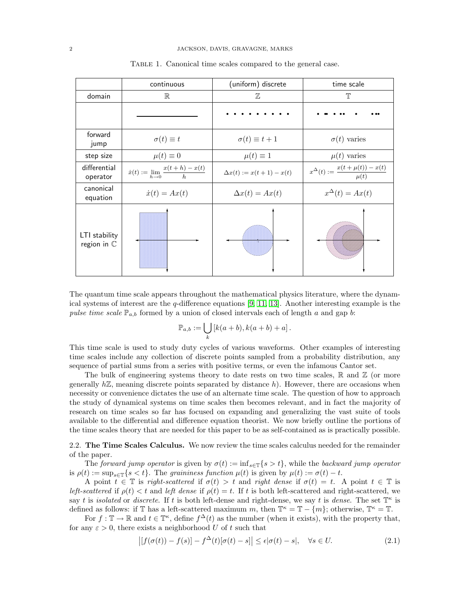|                                        | continuous                                               | (uniform) discrete             | time scale                                             |
|----------------------------------------|----------------------------------------------------------|--------------------------------|--------------------------------------------------------|
| domain                                 | $\mathbb R$                                              | $\mathbb{Z}$                   | $\mathbb{T}$                                           |
|                                        |                                                          |                                |                                                        |
| forward<br>jump                        | $\sigma(t) \equiv t$                                     | $\sigma(t) \equiv t+1$         | $\sigma(t)$ varies                                     |
| step size                              | $\mu(t) \equiv 0$                                        | $\mu(t) \equiv 1$              | $\mu(t)$ varies                                        |
| differential<br>operator               | $\dot{x}(t):=\lim_{h\rightarrow 0}\frac{x(t+h)-x(t)}{h}$ | $\Delta x(t) := x(t+1) - x(t)$ | $x^{\Delta}(t) := \frac{x(t + \mu(t)) - x(t)}{\mu(t)}$ |
| canonical<br>equation                  | $\dot{x}(t) = Ax(t)$                                     | $\Delta x(t) = Ax(t)$          | $x^{\Delta}(t) = Ax(t)$                                |
| LTI stability<br>region in $\mathbb C$ |                                                          |                                |                                                        |

<span id="page-1-1"></span>TABLE 1. Canonical time scales compared to the general case.

The quantum time scale appears throughout the mathematical physics literature, where the dynamical systems of interest are the  $q$ -difference equations [\[9,](#page-13-25) [11,](#page-13-26) [13\]](#page-13-27). Another interesting example is the pulse time scale  $\mathbb{P}_{a,b}$  formed by a union of closed intervals each of length a and gap b:

$$
\mathbb{P}_{a,b} := \bigcup_k \left[ k(a+b), k(a+b) + a \right].
$$

This time scale is used to study duty cycles of various waveforms. Other examples of interesting time scales include any collection of discrete points sampled from a probability distribution, any sequence of partial sums from a series with positive terms, or even the infamous Cantor set.

The bulk of engineering systems theory to date rests on two time scales,  $\mathbb R$  and  $\mathbb Z$  (or more generally  $h\mathbb{Z}$ , meaning discrete points separated by distance h). However, there are occasions when necessity or convenience dictates the use of an alternate time scale. The question of how to approach the study of dynamical systems on time scales then becomes relevant, and in fact the majority of research on time scales so far has focused on expanding and generalizing the vast suite of tools available to the differential and difference equation theorist. We now briefly outline the portions of the time scales theory that are needed for this paper to be as self-contained as is practically possible.

2.2. The Time Scales Calculus. We now review the time scales calculus needed for the remainder of the paper.

The forward jump operator is given by  $\sigma(t) := \inf_{s \in \mathbb{T}} \{s > t\}$ , while the backward jump operator is  $\rho(t) := \sup_{s \in \mathbb{T}} \{s < t\}.$  The graininess function  $\mu(t)$  is given by  $\mu(t) := \sigma(t) - t.$ 

A point  $t \in \mathbb{T}$  is right-scattered if  $\sigma(t) > t$  and right dense if  $\sigma(t) = t$ . A point  $t \in \mathbb{T}$  is left-scattered if  $\rho(t) < t$  and left dense if  $\rho(t) = t$ . If t is both left-scattered and right-scattered, we say t is *isolated* or *discrete*. If t is both left-dense and right-dense, we say t is *dense*. The set  $\mathbb{T}^{\kappa}$  is defined as follows: if  $\mathbb T$  has a left-scattered maximum m, then  $\mathbb T^{\kappa} = \mathbb T - \{m\}$ ; otherwise,  $\mathbb T^{\kappa} = \mathbb T$ .

For  $f: \mathbb{T} \to \mathbb{R}$  and  $t \in \mathbb{T}^{\kappa}$ , define  $f^{\Delta}(t)$  as the number (when it exists), with the property that, for any  $\varepsilon > 0$ , there exists a neighborhood U of t such that

<span id="page-1-0"></span>
$$
\left| \left[ f(\sigma(t)) - f(s) \right] - f^{\Delta}(t) [\sigma(t) - s] \right| \le \epsilon |\sigma(t) - s|, \quad \forall s \in U. \tag{2.1}
$$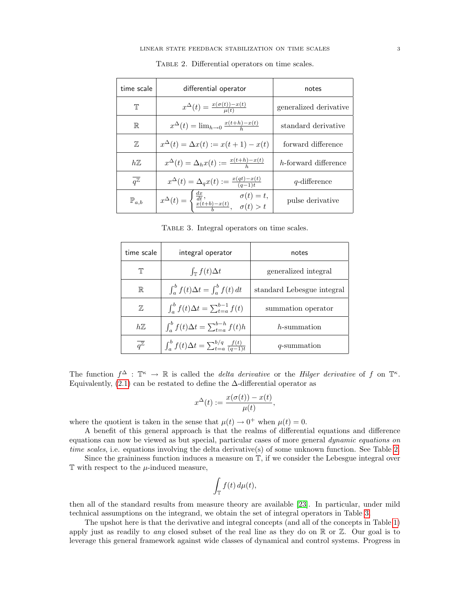| time scale                  | differential operator                                                                                                  | notes                  |
|-----------------------------|------------------------------------------------------------------------------------------------------------------------|------------------------|
| Τ                           | $x^{\Delta}(t) = \frac{x(\sigma(t)) - x(t)}{\mu(t)}$                                                                   | generalized derivative |
| $\mathbb R$                 | $x^{\Delta}(t) = \lim_{h \to 0} \frac{x(t+h) - x(t)}{h}$                                                               | standard derivative    |
| 77,                         | $x^{\Delta}(t) = \Delta x(t) := x(t+1) - x(t)$                                                                         | forward difference     |
| $h\mathbb{Z}$               | $x^{\Delta}(t) = \Delta_h x(t) := \frac{x(t+h) - x(t)}{h}$                                                             | h-forward difference   |
| $\overline{q^{\mathbb{Z}}}$ | $x^{\Delta}(t) = \Delta_q x(t) := \frac{x(qt) - x(t)}{(q-1)t}$                                                         | $q$ -difference        |
| $\mathbb{P}_{a,b}$          | $x^{\Delta}(t) = \begin{cases} \frac{dx}{dt}, & \sigma(t) = t, \\ \frac{x(t+b)-x(t)}{t}, & \sigma(t) > t. \end{cases}$ | pulse derivative       |

<span id="page-2-0"></span>Table 2. Differential operators on time scales.

<span id="page-2-1"></span>Table 3. Integral operators on time scales.

| time scale                  | integral operator                                               | notes                      |
|-----------------------------|-----------------------------------------------------------------|----------------------------|
| Τ                           | $\int_{\mathbb{T}} f(t) \Delta t$                               | generalized integral       |
| $\mathbb R$                 | $\int_a^b f(t) \Delta t = \int_a^b f(t) dt$                     | standard Lebesgue integral |
| $\mathbb{Z}$                | $\int_a^b f(t) \Delta t = \sum_{t=a}^{b-1} f(t)$                | summation operator         |
| $h\mathbb{Z}$               | $\int_a^b f(t) \Delta t = \sum_{t=a}^{b-h} f(t)h$               | h-summation                |
| $\overline{q^{\mathbb{Z}}}$ | $\int_a^b f(t) \Delta t = \sum_{t=a}^{b/q} \frac{f(t)}{(q-1)t}$ | q-summation                |

The function  $f^{\Delta}$ :  $\mathbb{T}^{\kappa} \to \mathbb{R}$  is called the *delta derivative* or the *Hilger derivative* of f on  $\mathbb{T}^{\kappa}$ . Equivalently, [\(2.1\)](#page-1-0) can be restated to define the  $\Delta$ -differential operator as

$$
x^{\Delta}(t) := \frac{x(\sigma(t)) - x(t)}{\mu(t)},
$$

where the quotient is taken in the sense that  $\mu(t) \to 0^+$  when  $\mu(t) = 0$ .

A benefit of this general approach is that the realms of differential equations and difference equations can now be viewed as but special, particular cases of more general dynamic equations on time scales, i.e. equations involving the delta derivative(s) of some unknown function. See Table [2.](#page-2-0)

Since the graininess function induces a measure on T, if we consider the Lebesgue integral over  $\mathbb T$  with respect to the  $\mu$ -induced measure,

$$
\int_{\mathbb{T}} f(t) d\mu(t),
$$

then all of the standard results from measure theory are available [\[23\]](#page-13-28). In particular, under mild technical assumptions on the integrand, we obtain the set of integral operators in Table [3.](#page-2-1)

The upshot here is that the derivative and integral concepts (and all of the concepts in Table [1\)](#page-1-1) apply just as readily to *any* closed subset of the real line as they do on  $\mathbb R$  or  $\mathbb Z$ . Our goal is to leverage this general framework against wide classes of dynamical and control systems. Progress in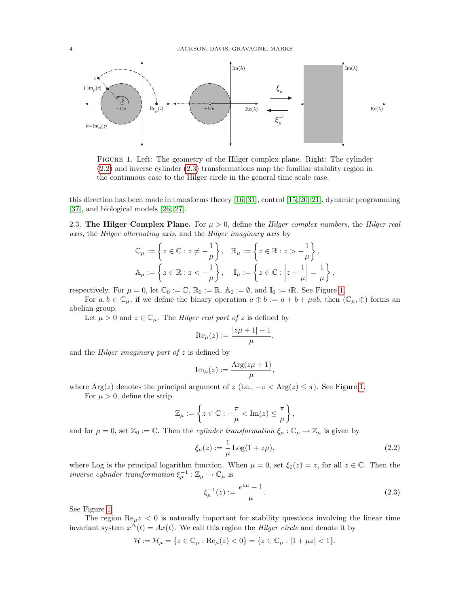

<span id="page-3-2"></span>Figure 1. Left: The geometry of the Hilger complex plane. Right: The cylinder [\(2.2\)](#page-3-0) and inverse cylinder [\(2.3\)](#page-3-1) transformations map the familiar stability region in the continuous case to the Hilger circle in the general time scale case.

this direction has been made in transforms theory [\[16,](#page-13-4) [31\]](#page-13-7), control [\[15,](#page-13-2) [20,](#page-13-11) [21\]](#page-13-12), dynamic programming [\[37\]](#page-14-1), and biological models [\[26,](#page-13-29) [27\]](#page-13-30).

2.3. The Hilger Complex Plane. For  $\mu > 0$ , define the Hilger complex numbers, the Hilger real axis, the Hilger alternating axis, and the Hilger imaginary axis by

$$
\mathbb{C}_{\mu} := \left\{ z \in \mathbb{C} : z \neq -\frac{1}{\mu} \right\}, \quad \mathbb{R}_{\mu} := \left\{ z \in \mathbb{R} : z > -\frac{1}{\mu} \right\},\
$$

$$
\mathbb{A}_{\mu} := \left\{ z \in \mathbb{R} : z < -\frac{1}{\mu} \right\}, \quad \mathbb{I}_{\mu} := \left\{ z \in \mathbb{C} : \left| z + \frac{1}{\mu} \right| = \frac{1}{\mu} \right\},\
$$

respectively. For  $\mu = 0$ , let  $\mathbb{C}_0 := \mathbb{C}$ ,  $\mathbb{R}_0 := \mathbb{R}$ ,  $\mathbb{A}_0 := \emptyset$ , and  $\mathbb{I}_0 := i\mathbb{R}$ . See Figure [1.](#page-3-2)

For  $a, b \in \mathbb{C}_{\mu}$ , if we define the binary operation  $a \oplus b := a + b + \mu ab$ , then  $(\mathbb{C}_{\mu}, \oplus)$  forms an abelian group.

Let  $\mu > 0$  and  $z \in \mathbb{C}_{\mu}$ . The *Hilger real part of z* is defined by

$$
\operatorname{Re}_{\mu}(z) := \frac{|z\mu + 1| - 1}{\mu},
$$

and the *Hilger imaginary part of*  $z$  is defined by

$$
\operatorname{Im}_{\mu}(z) := \frac{\operatorname{Arg}(z\mu + 1)}{\mu},
$$

where Arg(z) denotes the principal argument of z (i.e.,  $-\pi < \text{Arg}(z) \leq \pi$ ). See Figure [1.](#page-3-2)

For  $\mu > 0$ , define the strip

$$
\mathbb{Z}_{\mu} := \left\{ z \in \mathbb{C} : -\frac{\pi}{\mu} < \text{Im}(z) \leq \frac{\pi}{\mu} \right\},\
$$

and for  $\mu = 0$ , set  $\mathbb{Z}_0 := \mathbb{C}$ . Then the *cylinder transformation*  $\xi_{\mu} : \mathbb{C}_{\mu} \to \mathbb{Z}_{\mu}$  is given by

<span id="page-3-0"></span>
$$
\xi_{\mu}(z) := \frac{1}{\mu} \text{Log}(1 + z\mu),\tag{2.2}
$$

where Log is the principal logarithm function. When  $\mu = 0$ , set  $\xi_0(z) = z$ , for all  $z \in \mathbb{C}$ . Then the *inverse cylinder transformation*  $\xi_{\mu}^{-1} : \mathbb{Z}_{\mu} \to \mathbb{C}_{\mu}$  is

<span id="page-3-1"></span>
$$
\xi_{\mu}^{-1}(z) := \frac{e^{z\mu} - 1}{\mu}.\tag{2.3}
$$

See Figure [1.](#page-3-2)

The region  $\text{Re}_{\mu}z < 0$  is naturally important for stability questions involving the linear time invariant system  $x^{\Delta}(t) = Ax(t)$ . We call this region the *Hilger circle* and denote it by

$$
\mathcal{H} := \mathcal{H}_{\mu} = \{ z \in \mathbb{C}_{\mu} : \text{Re}_{\mu}(z) < 0 \} = \{ z \in \mathbb{C}_{\mu} : |1 + \mu z| < 1 \}.
$$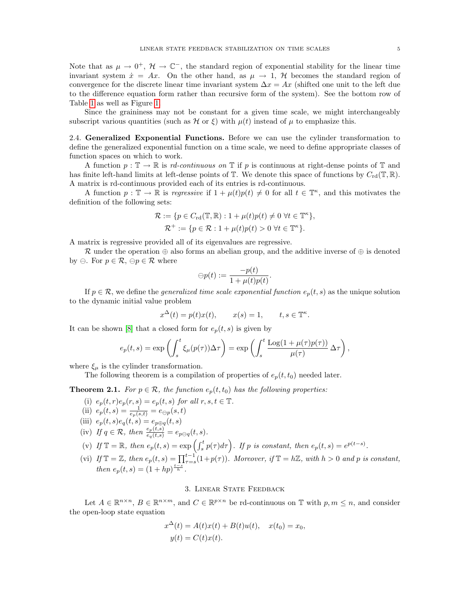Note that as  $\mu \to 0^+$ ,  $\mathcal{H} \to \mathbb{C}^-$ , the standard region of exponential stability for the linear time invariant system  $\dot{x} = Ax$ . On the other hand, as  $\mu \to 1$ , H becomes the standard region of convergence for the discrete linear time invariant system  $\Delta x = Ax$  (shifted one unit to the left due to the difference equation form rather than recursive form of the system). See the bottom row of Table [1](#page-1-1) as well as Figure [1.](#page-3-2)

Since the graininess may not be constant for a given time scale, we might interchangeably subscript various quantities (such as  $\mathcal H$  or  $\xi$ ) with  $\mu(t)$  instead of  $\mu$  to emphasize this.

2.4. Generalized Exponential Functions. Before we can use the cylinder transformation to define the generalized exponential function on a time scale, we need to define appropriate classes of function spaces on which to work.

A function  $p : \mathbb{T} \to \mathbb{R}$  is rd-continuous on  $\mathbb{T}$  if p is continuous at right-dense points of  $\mathbb{T}$  and has finite left-hand limits at left-dense points of  $\mathbb T$ . We denote this space of functions by  $C_{\rm rd}(\mathbb T,\mathbb R)$ . A matrix is rd-continuous provided each of its entries is rd-continuous.

A function  $p: \mathbb{T} \to \mathbb{R}$  is regressive if  $1 + \mu(t)p(t) \neq 0$  for all  $t \in \mathbb{T}^{\kappa}$ , and this motivates the definition of the following sets:

$$
\mathcal{R} := \{ p \in C_{\rm rd}(\mathbb{T}, \mathbb{R}) : 1 + \mu(t)p(t) \neq 0 \,\,\forall t \in \mathbb{T}^{\kappa} \},
$$
  

$$
\mathcal{R}^+ := \{ p \in \mathcal{R} : 1 + \mu(t)p(t) > 0 \,\,\forall t \in \mathbb{T}^{\kappa} \}.
$$

A matrix is regressive provided all of its eigenvalues are regressive.

R under the operation  $\oplus$  also forms an abelian group, and the additive inverse of  $\oplus$  is denoted by  $\ominus$ . For  $p \in \mathcal{R}$ ,  $\ominus p \in \mathcal{R}$  where

$$
\ominus p(t) := \frac{-p(t)}{1 + \mu(t)p(t)}.
$$

If  $p \in \mathcal{R}$ , we define the *generalized time scale exponential function*  $e_p(t, s)$  as the unique solution to the dynamic initial value problem

$$
x^{\Delta}(t) = p(t)x(t), \qquad x(s) = 1, \qquad t, s \in \mathbb{T}^{\kappa}.
$$

It can be shown [\[8\]](#page-13-22) that a closed form for  $e_p(t, s)$  is given by

$$
e_p(t,s) = \exp\left(\int_s^t \xi_\mu(p(\tau)) \Delta \tau\right) = \exp\left(\int_s^t \frac{\text{Log}(1 + \mu(\tau)p(\tau))}{\mu(\tau)} \Delta \tau\right),
$$

where  $\xi_{\mu}$  is the cylinder transformation.

The following theorem is a compilation of properties of  $e_p(t, t_0)$  needed later.

**Theorem 2.1.** For  $p \in \mathcal{R}$ , the function  $e_p(t, t_0)$  has the following properties:

- (i)  $e_p(t,r)e_p(r,s) = e_p(t,s)$  for all  $r, s, t \in \mathbb{T}$ .
- (ii)  $e_p(t,s) = \frac{1}{e_p(s,t)} = e_{\ominus p}(s,t)$
- (iii)  $e_p(t, s)e_q(t, s) = e_{p \oplus q}(t, s)$
- (iv) If  $q \in \mathcal{R}$ , then  $\frac{e_p(t,s)}{e_q(t,s)} = e_{p\ominus q}(t,s)$ .
- (v) If  $\mathbb{T} = \mathbb{R}$ , then  $e_p(t, s) = \exp \left( \int_s^t p(\tau) d\tau \right)$ . If p is constant, then  $e_p(t, s) = e^{p(t-s)}$ .
- (vi) If  $\mathbb{T} = \mathbb{Z}$ , then  $e_p(t, s) = \prod_{\tau=s}^{t-1} (1 + p(\tau))$ . Moreover, if  $\mathbb{T} = h\mathbb{Z}$ , with  $h > 0$  and p is constant, then  $e_p(t,s) = (1 + hp)^{\frac{t-s}{h}}$ .

## 3. Linear State Feedback

Let  $A \in \mathbb{R}^{n \times n}$ ,  $B \in \mathbb{R}^{n \times m}$ , and  $C \in \mathbb{R}^{p \times n}$  be rd-continuous on T with  $p, m \leq n$ , and consider the open-loop state equation

$$
x^{\Delta}(t) = A(t)x(t) + B(t)u(t), \quad x(t_0) = x_0,
$$
  

$$
y(t) = C(t)x(t).
$$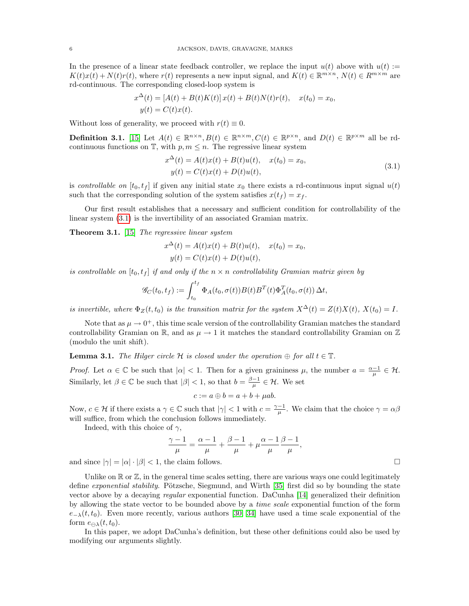In the presence of a linear state feedback controller, we replace the input  $u(t)$  above with  $u(t) :=$  $K(t)x(t) + N(t)r(t)$ , where  $r(t)$  represents a new input signal, and  $K(t) \in \mathbb{R}^{m \times n}$ ,  $N(t) \in R^{m \times m}$  are rd-continuous. The corresponding closed-loop system is

$$
x^{\Delta}(t) = [A(t) + B(t)K(t)] x(t) + B(t)N(t)r(t), \quad x(t_0) = x_0,
$$
  

$$
y(t) = C(t)x(t).
$$

Without loss of generality, we proceed with  $r(t) \equiv 0$ .

**Definition 3.1.** [\[15\]](#page-13-2) Let  $A(t) \in \mathbb{R}^{n \times n}$ ,  $B(t) \in \mathbb{R}^{n \times m}$ ,  $C(t) \in \mathbb{R}^{p \times n}$ , and  $D(t) \in \mathbb{R}^{p \times m}$  all be rdcontinuous functions on  $\mathbb{T}$ , with  $p, m \leq n$ . The regressive linear system

<span id="page-5-0"></span>
$$
x^{\Delta}(t) = A(t)x(t) + B(t)u(t), \quad x(t_0) = x_0,
$$
  
\n
$$
y(t) = C(t)x(t) + D(t)u(t),
$$
\n(3.1)

is controllable on  $[t_0, t_f]$  if given any initial state  $x_0$  there exists a rd-continuous input signal  $u(t)$ such that the corresponding solution of the system satisfies  $x(t_f) = x_f$ .

Our first result establishes that a necessary and sufficient condition for controllability of the linear system [\(3.1\)](#page-5-0) is the invertibility of an associated Gramian matrix.

<span id="page-5-2"></span>Theorem 3.1. [\[15\]](#page-13-2) The regressive linear system

$$
x^{\Delta}(t) = A(t)x(t) + B(t)u(t), \quad x(t_0) = x_0,
$$
  

$$
y(t) = C(t)x(t) + D(t)u(t),
$$

is controllable on  $[t_0, t_f]$  if and only if the  $n \times n$  controllability Gramian matrix given by

$$
\mathscr{G}_C(t_0,t_f) := \int_{t_0}^{t_f} \Phi_A(t_0,\sigma(t))B(t)B^T(t)\Phi_A^T(t_0,\sigma(t))\,\Delta t,
$$

is invertible, where  $\Phi_Z(t,t_0)$  is the transition matrix for the system  $X^{\Delta}(t) = Z(t)X(t)$ ,  $X(t_0) = I$ .

Note that as  $\mu \to 0^+$ , this time scale version of the controllability Gramian matches the standard controllability Gramian on R, and as  $\mu \to 1$  it matches the standard controllability Gramian on Z (modulo the unit shift).

<span id="page-5-1"></span>**Lemma 3.1.** The Hilger circle  $H$  is closed under the operation  $\oplus$  for all  $t \in \mathbb{T}$ .

Proof. Let  $\alpha \in \mathbb{C}$  be such that  $|\alpha| < 1$ . Then for a given graininess  $\mu$ , the number  $a = \frac{\alpha - 1}{\mu} \in \mathcal{H}$ . Similarly, let  $\beta \in \mathbb{C}$  be such that  $|\beta| < 1$ , so that  $b = \frac{\beta - 1}{\mu} \in \mathcal{H}$ . We set

$$
c := a \oplus b = a + b + \mu ab.
$$

Now,  $c \in \mathcal{H}$  if there exists a  $\gamma \in \mathbb{C}$  such that  $|\gamma| < 1$  with  $c = \frac{\gamma - 1}{\mu}$ . We claim that the choice  $\gamma = \alpha \beta$ will suffice, from which the conclusion follows immediately.

Indeed, with this choice of  $\gamma$ ,

$$
\frac{\gamma - 1}{\mu} = \frac{\alpha - 1}{\mu} + \frac{\beta - 1}{\mu} + \mu \frac{\alpha - 1}{\mu} \frac{\beta - 1}{\mu},
$$

and since  $|\gamma| = |\alpha| \cdot |\beta| < 1$ , the claim follows.

Unlike on  $\mathbb R$  or  $\mathbb Z$ , in the general time scales setting, there are various ways one could legitimately define *exponential stability*. Pötzsche, Siegmund, and Wirth [\[35\]](#page-14-4) first did so by bounding the state vector above by a decaying regular exponential function. DaCunha [\[14\]](#page-13-8) generalized their definition by allowing the state vector to be bounded above by a time scale exponential function of the form  $e_{-\lambda}(t, t_0)$ . Even more recently, various authors [\[30,](#page-13-31) [34\]](#page-14-5) have used a time scale exponential of the form  $e_{\Omega_{\lambda}}(t, t_0)$ .

In this paper, we adopt DaCunha's definition, but these other definitions could also be used by modifying our arguments slightly.

$$
\sqcup
$$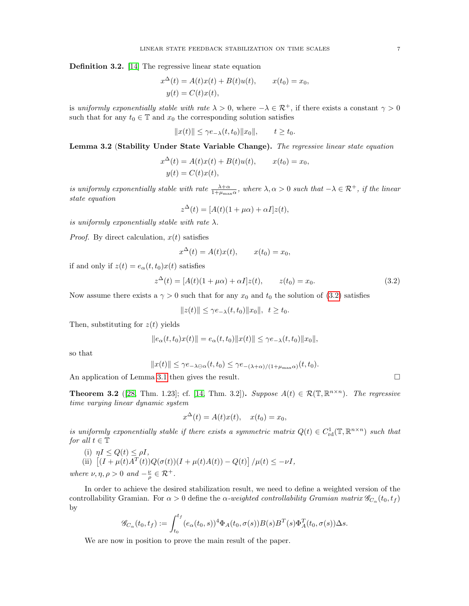Definition 3.2. [\[14\]](#page-13-8) The regressive linear state equation

$$
x^{\Delta}(t) = A(t)x(t) + B(t)u(t), \qquad x(t_0) = x_0,
$$
  

$$
y(t) = C(t)x(t),
$$

is uniformly exponentially stable with rate  $\lambda > 0$ , where  $-\lambda \in \mathcal{R}^+$ , if there exists a constant  $\gamma > 0$ such that for any  $t_0 \in \mathbb{T}$  and  $x_0$  the corresponding solution satisfies

$$
||x(t)|| \leq \gamma e_{-\lambda}(t, t_0)||x_0||, \qquad t \geq t_0.
$$

<span id="page-6-2"></span>Lemma 3.2 (Stability Under State Variable Change). The regressive linear state equation

$$
x^{\Delta}(t) = A(t)x(t) + B(t)u(t), \qquad x(t_0) = x_0,
$$
  

$$
y(t) = C(t)x(t),
$$

is uniformly exponentially stable with rate  $\frac{\lambda+\alpha}{1+\mu_{\max}\alpha}$ , where  $\lambda, \alpha > 0$  such that  $-\lambda \in \mathcal{R}^+$ , if the linear state equation

$$
z^{\Delta}(t) = [A(t)(1 + \mu \alpha) + \alpha I]z(t),
$$

is uniformly exponentially stable with rate  $\lambda$ .

*Proof.* By direct calculation,  $x(t)$  satisfies

<span id="page-6-0"></span>
$$
x^{\Delta}(t) = A(t)x(t), \qquad x(t_0) = x_0,
$$

if and only if  $z(t) = e_\alpha(t, t_0)x(t)$  satisfies

$$
z^{\Delta}(t) = [A(t)(1 + \mu \alpha) + \alpha I]z(t), \qquad z(t_0) = x_0.
$$
 (3.2)

Now assume there exists a  $\gamma > 0$  such that for any  $x_0$  and  $t_0$  the solution of [\(3.2\)](#page-6-0) satisfies

$$
||z(t)|| \leq \gamma e_{-\lambda}(t, t_0)||x_0||, t \geq t_0.
$$

Then, substituting for  $z(t)$  yields

$$
||e_{\alpha}(t,t_0)x(t)|| = e_{\alpha}(t,t_0)||x(t)|| \leq \gamma e_{-\lambda}(t,t_0)||x_0||,
$$

so that

$$
||x(t)|| \leq \gamma e_{-\lambda \ominus \alpha}(t, t_0) \leq \gamma e_{-(\lambda + \alpha)/(1 + \mu_{\max} \alpha)}(t, t_0).
$$

An application of Lemma [3.1](#page-5-1) then gives the result.

<span id="page-6-1"></span>**Theorem 3.2** ([\[28,](#page-13-3) Thm. 1.23]; cf. [\[14,](#page-13-8) Thm. 3.2]). Suppose  $A(t) \in \mathcal{R}(\mathbb{T}, \mathbb{R}^{n \times n})$ . The regressive time varying linear dynamic system

$$
x^{\Delta}(t) = A(t)x(t), \quad x(t_0) = x_0,
$$

is uniformly exponentially stable if there exists a symmetric matrix  $Q(t) \in C^1_{\text{rd}}(\mathbb{T}, \mathbb{R}^{n \times n})$  such that for all  $t \in \mathbb{T}$ 

- (i)  $\eta I \leq Q(t) \leq \rho I$ ,
- (ii)  $[(I + \mu(t)A^T(t))Q(\sigma(t))(I + \mu(t)A(t)) Q(t)]/\mu(t) \leq -\nu I$ ,

where  $\nu, \eta, \rho > 0$  and  $-\frac{\nu}{\rho} \in \mathcal{R}^+$ .

In order to achieve the desired stabilization result, we need to define a weighted version of the controllability Gramian. For  $\alpha > 0$  define the  $\alpha$ -weighted controllability Gramian matrix  $\mathscr{G}_{C_{\alpha}}(t_0, t_f)$ by

$$
\mathscr{G}_{C_{\alpha}}(t_0, t_f) := \int_{t_0}^{t_f} (e_{\alpha}(t_0, s))^4 \Phi_A(t_0, \sigma(s)) B(s) B^T(s) \Phi_A^T(t_0, \sigma(s)) \Delta s.
$$

<span id="page-6-3"></span>We are now in position to prove the main result of the paper.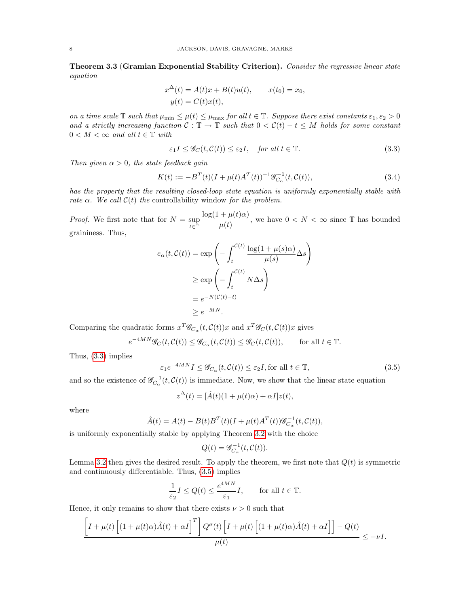Theorem 3.3 (Gramian Exponential Stability Criterion). Consider the regressive linear state equation

$$
x^{\Delta}(t) = A(t)x + B(t)u(t), \qquad x(t_0) = x_0,
$$
  

$$
y(t) = C(t)x(t),
$$

on a time scale  $\mathbb T$  such that  $\mu_{\min} \leq \mu(t) \leq \mu_{\max}$  for all  $t \in \mathbb T$ . Suppose there exist constants  $\varepsilon_1, \varepsilon_2 > 0$ and a strictly increasing function  $C : \mathbb{T} \to \mathbb{T}$  such that  $0 < C(t) - t \leq M$  holds for some constant  $0 < M < \infty$  and all  $t \in \mathbb{T}$  with

<span id="page-7-0"></span>
$$
\varepsilon_1 I \le \mathcal{G}_C(t, \mathcal{C}(t)) \le \varepsilon_2 I, \quad \text{for all } t \in \mathbb{T}.
$$
\n(3.3)

Then given  $\alpha > 0$ , the state feedback gain

<span id="page-7-2"></span>
$$
K(t) := -BT(t)(I + \mu(t)AT(t))-1 \mathcal{G}_{C_{\alpha}}-1(t, \mathcal{C}(t)),
$$
\n(3.4)

has the property that the resulting closed-loop state equation is uniformly exponentially stable with rate  $\alpha$ . We call  $\mathcal{C}(t)$  the controllability window for the problem.

*Proof.* We first note that for  $N = \sup_{t \in \mathbb{T}}$  $\log(1 + \mu(t)\alpha)$  $\frac{+\mu(t)\alpha}{\mu(t)}$ , we have  $0 < N < \infty$  since T has bounded graininess. Thus,

$$
e_{\alpha}(t, C(t)) = \exp\left(-\int_{t}^{C(t)} \frac{\log(1 + \mu(s)\alpha)}{\mu(s)} \Delta s\right)
$$

$$
\geq \exp\left(-\int_{t}^{C(t)} N \Delta s\right)
$$

$$
= e^{-N(C(t) - t)}
$$

$$
\geq e^{-MN}.
$$

Comparing the quadratic forms  $x^T \mathscr{G}_{C_\alpha}(t, \mathcal{C}(t))x$  and  $x^T \mathscr{G}_C(t, \mathcal{C}(t))x$  gives

$$
e^{-4MN}\mathscr{G}_C(t,\mathcal{C}(t))\leq \mathscr{G}_{C_\alpha}(t,\mathcal{C}(t))\leq \mathscr{G}_C(t,\mathcal{C}(t)),\qquad \text{for all }t\in\mathbb{T}.
$$

Thus, [\(3.3\)](#page-7-0) implies

<span id="page-7-1"></span>
$$
\varepsilon_1 e^{-4MN} I \le \mathcal{G}_{C_\alpha}(t, \mathcal{C}(t)) \le \varepsilon_2 I, \text{for all } t \in \mathbb{T},\tag{3.5}
$$

and so the existence of  $\mathscr{G}_{C_{\alpha}}^{-1}(t,\mathcal{C}(t))$  is immediate. Now, we show that the linear state equation

$$
z^{\Delta}(t) = [\hat{A}(t)(1 + \mu(t)\alpha) + \alpha I]z(t),
$$

where

$$
\hat{A}(t) = A(t) - B(t)B^{T}(t)(I + \mu(t)A^{T}(t))\mathcal{G}_{C_{\alpha}}^{-1}(t, \mathcal{C}(t)),
$$

is uniformly exponentially stable by applying Theorem [3.2](#page-6-1) with the choice

$$
Q(t) = \mathscr{G}_{C_{\alpha}}^{-1}(t, \mathcal{C}(t)).
$$

Lemma [3.2](#page-6-2) then gives the desired result. To apply the theorem, we first note that  $Q(t)$  is symmetric and continuously differentiable. Thus, [\(3.5\)](#page-7-1) implies

$$
\frac{1}{\varepsilon_2} I \le Q(t) \le \frac{e^{4MN}}{\varepsilon_1} I, \quad \text{for all } t \in \mathbb{T}.
$$

Hence, it only remains to show that there exists  $\nu > 0$  such that

$$
\frac{\left[I+\mu(t)\left[(1+\mu(t)\alpha)\hat{A}(t)+\alpha I\right]^T\right]Q^{\sigma}(t)\left[I+\mu(t)\left[(1+\mu(t)\alpha)\hat{A}(t)+\alpha I\right]\right]-Q(t)}{\mu(t)} \leq -\nu I.
$$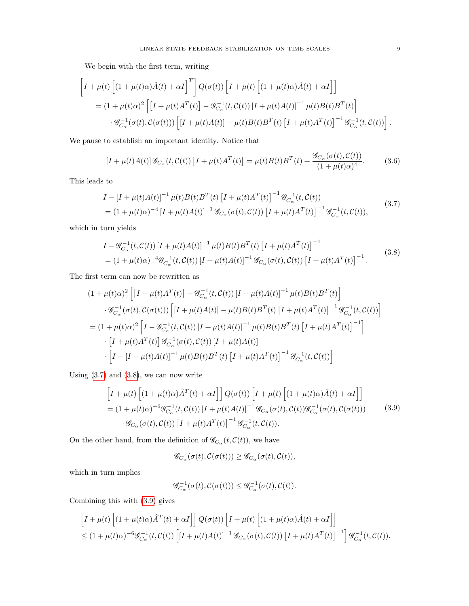We begin with the first term, writing

$$
\begin{split}\n\left[I + \mu(t) \left[ (1 + \mu(t)\alpha) \hat{A}(t) + \alpha I \right]^T \right] Q(\sigma(t)) \left[ I + \mu(t) \left[ (1 + \mu(t)\alpha) \hat{A}(t) + \alpha I \right] \right] \\
= (1 + \mu(t)\alpha)^2 \left[ \left[ I + \mu(t)A^T(t) \right] - \mathcal{G}_{C_\alpha}^{-1}(t, \mathcal{C}(t)) \left[ I + \mu(t)A(t) \right]^{-1} \mu(t) B(t) B^T(t) \right] \\
\cdot \mathcal{G}_{C_\alpha}^{-1}(\sigma(t), \mathcal{C}(\sigma(t))) \left[ \left[ I + \mu(t)A(t) \right] - \mu(t)B(t) B^T(t) \left[ I + \mu(t)A^T(t) \right]^{-1} \mathcal{G}_{C_\alpha}^{-1}(t, \mathcal{C}(t)) \right].\n\end{split}
$$

We pause to establish an important identity. Notice that

<span id="page-8-3"></span>
$$
\left[I + \mu(t)A(t)\right] \mathcal{G}_{C_{\alpha}}(t, \mathcal{C}(t)) \left[I + \mu(t)A^{T}(t)\right] = \mu(t)B(t)B^{T}(t) + \frac{\mathcal{G}_{C_{\alpha}}(\sigma(t), \mathcal{C}(t))}{(1 + \mu(t)\alpha)^{4}}.
$$
(3.6)

This leads to

<span id="page-8-0"></span>
$$
I - [I + \mu(t)A(t)]^{-1} \mu(t)B(t)B^{T}(t) [I + \mu(t)A^{T}(t)]^{-1} \mathcal{G}_{C_{\alpha}}^{-1}(t, C(t))
$$
  
=  $(1 + \mu(t)\alpha)^{-4} [I + \mu(t)A(t)]^{-1} \mathcal{G}_{C_{\alpha}}(\sigma(t), C(t)) [I + \mu(t)A^{T}(t)]^{-1} \mathcal{G}_{C_{\alpha}}^{-1}(t, C(t)),$  (3.7)

which in turn yields

<span id="page-8-1"></span>
$$
I - \mathcal{G}_{C_{\alpha}}^{-1}(t, \mathcal{C}(t)) [I + \mu(t)A(t)]^{-1} \mu(t)B(t)B^{T}(t) [I + \mu(t)A^{T}(t)]^{-1}
$$
  
=  $(1 + \mu(t)\alpha)^{-4} \mathcal{G}_{C_{\alpha}}^{-1}(t, \mathcal{C}(t)) [I + \mu(t)A(t)]^{-1} \mathcal{G}_{C_{\alpha}}(\sigma(t), \mathcal{C}(t)) [I + \mu(t)A^{T}(t)]^{-1}.$  (3.8)

The first term can now be rewritten as

$$
(1 + \mu(t)\alpha)^2 \left[ \left[I + \mu(t)A^T(t)\right] - \mathcal{G}_{C_{\alpha}}^{-1}(t, \mathcal{C}(t)) \left[I + \mu(t)A(t)\right]^{-1} \mu(t)B(t)B^T(t) \right] \cdot \mathcal{G}_{C_{\alpha}}^{-1}(\sigma(t), \mathcal{C}(\sigma(t))) \left[ \left[I + \mu(t)A(t)\right] - \mu(t)B(t)B^T(t) \left[I + \mu(t)A^T(t)\right]^{-1} \mathcal{G}_{C_{\alpha}}^{-1}(t, \mathcal{C}(t)) \right] \n= (1 + \mu(t)\alpha)^2 \left[ I - \mathcal{G}_{C_{\alpha}}^{-1}(t, \mathcal{C}(t)) \left[I + \mu(t)A(t)\right]^{-1} \mu(t)B(t)B^T(t) \left[I + \mu(t)A^T(t)\right]^{-1} \right] \cdot \left[ I + \mu(t)A^T(t) \right] \mathcal{G}_{C_{\alpha}}^{-1}(\sigma(t), \mathcal{C}(t)) \left[I + \mu(t)A(t)\right] \cdot \left[ I - \left[I + \mu(t)A(t)\right]^{-1} \mu(t)B(t)B^T(t) \left[I + \mu(t)A^T(t)\right]^{-1} \mathcal{G}_{C_{\alpha}}^{-1}(t, \mathcal{C}(t)) \right]
$$

Using  $(3.7)$  and  $(3.8)$ , we can now write

<span id="page-8-2"></span>
$$
\begin{aligned}\n\left[I + \mu(t) \left[ (1 + \mu(t)\alpha) \hat{A}^T(t) + \alpha I \right] \right] Q(\sigma(t)) \left[I + \mu(t) \left[ (1 + \mu(t)\alpha) \hat{A}(t) + \alpha I \right] \right] \\
&= (1 + \mu(t)\alpha)^{-6} \mathcal{G}_{C_{\alpha}}^{-1}(t, \mathcal{C}(t)) \left[I + \mu(t)A(t) \right]^{-1} \mathcal{G}_{C_{\alpha}}(\sigma(t), \mathcal{C}(t)) \mathcal{G}_{C_{\alpha}}^{-1}(\sigma(t), \mathcal{C}(\sigma(t))) \\
&\cdot \mathcal{G}_{C_{\alpha}}(\sigma(t), \mathcal{C}(t)) \left[I + \mu(t)A^T(t) \right]^{-1} \mathcal{G}_{C_{\alpha}}^{-1}(t, \mathcal{C}(t)).\n\end{aligned} \tag{3.9}
$$

On the other hand, from the definition of  $\mathscr{G}_{C_{\alpha}}(t,\mathcal{C}(t))$ , we have

$$
\mathscr{G}_{C_{\alpha}}(\sigma(t), \mathcal{C}(\sigma(t))) \geq \mathscr{G}_{C_{\alpha}}(\sigma(t), \mathcal{C}(t)),
$$

which in turn implies

$$
\mathscr{G}^{-1}_{C_\alpha}(\sigma(t),\mathcal{C}(\sigma(t)))\leq \mathscr{G}^{-1}_{C_\alpha}(\sigma(t),\mathcal{C}(t)).
$$

Combining this with [\(3.9\)](#page-8-2) gives

$$
\begin{aligned}\n\left[I + \mu(t) \left[ (1 + \mu(t)\alpha) \hat{A}^T(t) + \alpha I \right] \right] Q(\sigma(t)) \left[I + \mu(t) \left[ (1 + \mu(t)\alpha) \hat{A}(t) + \alpha I \right] \right] \\
&\leq (1 + \mu(t)\alpha)^{-6} \mathcal{G}_{C_{\alpha}}^{-1}(t, \mathcal{C}(t)) \left[ [I + \mu(t)A(t)]^{-1} \mathcal{G}_{C_{\alpha}}(\sigma(t), \mathcal{C}(t)) \left[ I + \mu(t)A^T(t) \right]^{-1} \right] \mathcal{G}_{C_{\alpha}}^{-1}(t, \mathcal{C}(t)).\n\end{aligned}
$$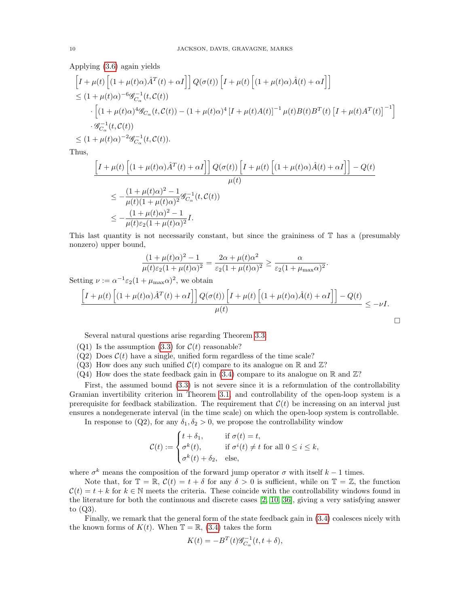Applying [\(3.6\)](#page-8-3) again yields

$$
\begin{split} &\left[I+\mu(t)\left[(1+\mu(t)\alpha)\hat{A}^{T}(t)+\alpha I\right]\right]Q(\sigma(t))\left[I+\mu(t)\left[(1+\mu(t)\alpha)\hat{A}(t)+\alpha I\right]\right] \\ &\leq (1+\mu(t)\alpha)^{-6}\mathscr{G}_{C_{\alpha}}^{-1}(t,\mathcal{C}(t))\\ &\qquad\cdot\left[(1+\mu(t)\alpha)^{4}\mathscr{G}_{C_{\alpha}}(t,\mathcal{C}(t))-(1+\mu(t)\alpha)^{4}\left[I+\mu(t)A(t)\right]^{-1}\mu(t)B(t)B^{T}(t)\left[I+\mu(t)A^{T}(t)\right]^{-1}\right]\\ &\qquad\cdot\mathscr{G}_{C_{\alpha}}^{-1}(t,\mathcal{C}(t))\\ &\leq (1+\mu(t)\alpha)^{-2}\mathscr{G}_{C_{\alpha}}^{-1}(t,\mathcal{C}(t)). \end{split}
$$

Thus,

$$
\begin{aligned} &\left[I+\mu(t)\left[(1+\mu(t)\alpha)\hat{A}^{T}(t)+\alpha I\right]\right]Q(\sigma(t))\left[I+\mu(t)\left[(1+\mu(t)\alpha)\hat{A}(t)+\alpha I\right]\right]-Q(t)\\ &\leq-\frac{(1+\mu(t)\alpha)^{2}-1}{\mu(t)(1+\mu(t)\alpha)^{2}}\mathscr{G}_{C_{\alpha}}^{-1}(t,\mathcal{C}(t))\\ &\leq-\frac{(1+\mu(t)\alpha)^{2}-1}{\mu(t)\varepsilon_{2}(1+\mu(t)\alpha)^{2}}I. \end{aligned}
$$

This last quantity is not necessarily constant, but since the graininess of  $T$  has a (presumably nonzero) upper bound,

$$
\frac{(1+\mu(t)\alpha)^2 - 1}{\mu(t)\varepsilon_2(1+\mu(t)\alpha)^2} = \frac{2\alpha + \mu(t)\alpha^2}{\varepsilon_2(1+\mu(t)\alpha)^2} \ge \frac{\alpha}{\varepsilon_2(1+\mu_{\max}\alpha)^2}.
$$

Setting  $\nu := \alpha^{-1} \varepsilon_2 (1 + \mu_{\max} \alpha)^2$ , we obtain

$$
\frac{\left[I + \mu(t)\left[(1 + \mu(t)\alpha)\hat{A}^T(t) + \alpha I\right]\right]Q(\sigma(t))\left[I + \mu(t)\left[(1 + \mu(t)\alpha)\hat{A}(t) + \alpha I\right]\right] - Q(t)}{\mu(t)} \le -\nu I.
$$

Several natural questions arise regarding Theorem [3.3:](#page-6-3)

- (Q1) Is the assumption [\(3.3\)](#page-7-0) for  $\mathcal{C}(t)$  reasonable?
- $(Q2)$  Does  $C(t)$  have a single, unified form regardless of the time scale?
- (Q3) How does any such unified  $\mathcal{C}(t)$  compare to its analogue on R and  $\mathbb{Z}$ ?
- $(Q4)$  How does the state feedback gain in  $(3.4)$  compare to its analogue on R and  $\mathbb{Z}$ ?

First, the assumed bound [\(3.3\)](#page-7-0) is not severe since it is a reformulation of the controllability Gramian invertibility criterion in Theorem [3.1,](#page-5-2) and controllability of the open-loop system is a prerequisite for feedback stabilization. The requirement that  $\mathcal{C}(t)$  be increasing on an interval just ensures a nondegenerate interval (in the time scale) on which the open-loop system is controllable.

In response to (Q2), for any  $\delta_1, \delta_2 > 0$ , we propose the controllability window

$$
\mathcal{C}(t) := \begin{cases} t + \delta_1, & \text{if } \sigma(t) = t, \\ \sigma^k(t), & \text{if } \sigma^i(t) \neq t \text{ for all } 0 \leq i \leq k, \\ \sigma^k(t) + \delta_2, & \text{else,} \end{cases}
$$

where  $\sigma^k$  means the composition of the forward jump operator  $\sigma$  with itself  $k-1$  times.

Note that, for  $\mathbb{T} = \mathbb{R}$ ,  $\mathcal{C}(t) = t + \delta$  for any  $\delta > 0$  is sufficient, while on  $\mathbb{T} = \mathbb{Z}$ , the function  $\mathcal{C}(t) = t + k$  for  $k \in \mathbb{N}$  meets the criteria. These coincide with the controllability windows found in the literature for both the continuous and discrete cases [\[2,](#page-13-0) [10,](#page-13-1) [36\]](#page-14-0), giving a very satisfying answer to (Q3).

Finally, we remark that the general form of the state feedback gain in [\(3.4\)](#page-7-2) coalesces nicely with the known forms of  $K(t)$ . When  $\mathbb{T} = \mathbb{R}$ , [\(3.4\)](#page-7-2) takes the form

$$
K(t) = -BT(t)\mathcal{G}_{C_{\alpha}}^{-1}(t, t + \delta),
$$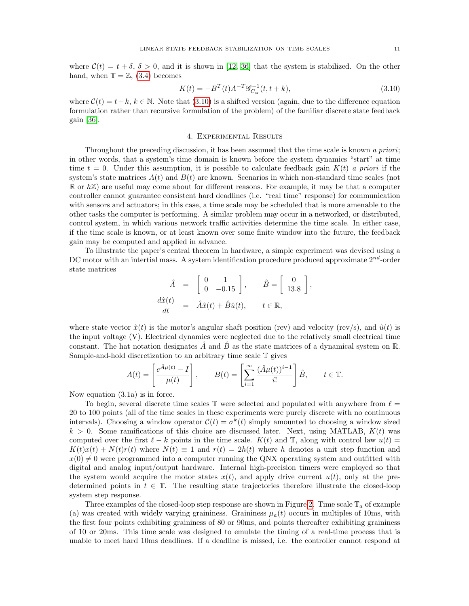<span id="page-10-0"></span>
$$
K(t) = -BT(t)A-T\mathcal{G}_{C_{\alpha}}^{-1}(t, t + k),
$$
\n(3.10)

,

where  $\mathcal{C}(t) = t+k, k \in \mathbb{N}$ . Note that [\(3.10\)](#page-10-0) is a shifted version (again, due to the difference equation formulation rather than recursive formulation of the problem) of the familiar discrete state feedback gain [\[36\]](#page-14-0).

# 4. Experimental Results

Throughout the preceding discussion, it has been assumed that the time scale is known a priori; in other words, that a system's time domain is known before the system dynamics "start" at time time  $t = 0$ . Under this assumption, it is possible to calculate feedback gain  $K(t)$  a priori if the system's state matrices  $A(t)$  and  $B(t)$  are known. Scenarios in which non-standard time scales (not  $\mathbb R$  or  $h\mathbb Z$ ) are useful may come about for different reasons. For example, it may be that a computer controller cannot guarantee consistent hard deadlines (i.e. "real time" response) for communication with sensors and actuators; in this case, a time scale may be scheduled that is more amenable to the other tasks the computer is performing. A similar problem may occur in a networked, or distributed, control system, in which various network traffic activities determine the time scale. In either case, if the time scale is known, or at least known over some finite window into the future, the feedback gain may be computed and applied in advance.

To illustrate the paper's central theorem in hardware, a simple experiment was devised using a DC motor with an intertial mass. A system identification procedure produced approximate  $2^{nd}$ -order state matrices

$$
\hat{A} = \begin{bmatrix} 0 & 1 \\ 0 & -0.15 \end{bmatrix}, \quad \hat{B} = \begin{bmatrix} 0 \\ 13.8 \end{bmatrix}
$$

$$
\frac{d\hat{x}(t)}{dt} = \hat{A}\hat{x}(t) + \hat{B}\hat{u}(t), \quad t \in \mathbb{R},
$$

where state vector  $\hat{x}(t)$  is the motor's angular shaft position (rev) and velocity (rev/s), and  $\hat{u}(t)$  is the input voltage (V). Electrical dynamics were neglected due to the relatively small electrical time constant. The hat notation designates  $\hat{A}$  and  $\hat{B}$  as the state matrices of a dynamical system on  $\mathbb{R}$ . Sample-and-hold discretization to an arbitrary time scale T gives

$$
A(t) = \left[\frac{e^{\hat{A}\mu(t)} - I}{\mu(t)}\right], \qquad B(t) = \left[\sum_{i=1}^{\infty} \frac{(\hat{A}\mu(t))^{i-1}}{i!}\right] \hat{B}, \qquad t \in \mathbb{T}.
$$

Now equation (3.1a) is in force.

To begin, several discrete time scales  $\mathbb T$  were selected and populated with anywhere from  $\ell =$ 20 to 100 points (all of the time scales in these experiments were purely discrete with no continuous intervals). Choosing a window operator  $\mathcal{C}(t) = \sigma^k(t)$  simply amounted to choosing a window sized  $k > 0$ . Some ramifications of this choice are discussed later. Next, using MATLAB,  $K(t)$  was computed over the first  $\ell - k$  points in the time scale.  $K(t)$  and T, along with control law  $u(t) =$  $K(t)x(t) + N(t)r(t)$  where  $N(t) \equiv 1$  and  $r(t) = 2h(t)$  where h denotes a unit step function and  $x(0) \neq 0$  were programmed into a computer running the QNX operating system and outfitted with digital and analog input/output hardware. Internal high-precision timers were employed so that the system would acquire the motor states  $x(t)$ , and apply drive current  $u(t)$ , only at the predetermined points in  $t \in \mathbb{T}$ . The resulting state trajectories therefore illustrate the closed-loop system step response.

Three examples of the closed-loop step response are shown in Figure [2.](#page-11-0) Time scale  $\mathbb{T}_a$  of example (a) was created with widely varying graininess. Graininess  $\mu_a(t)$  occurs in multiples of 10ms, with the first four points exhibiting graininess of 80 or 90ms, and points thereafter exhibiting graininess of 10 or 20ms. This time scale was designed to emulate the timing of a real-time process that is unable to meet hard 10ms deadlines. If a deadline is missed, i.e. the controller cannot respond at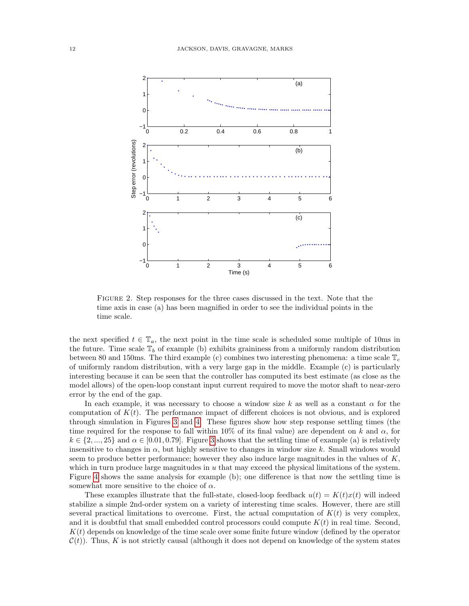

<span id="page-11-0"></span>Figure 2. Step responses for the three cases discussed in the text. Note that the time axis in case (a) has been magnified in order to see the individual points in the time scale.

the next specified  $t \in \mathbb{T}_a$ , the next point in the time scale is scheduled some multiple of 10ms in the future. Time scale  $\mathbb{T}_b$  of example (b) exhibits graininess from a uniformly random distribution between 80 and 150ms. The third example (c) combines two interesting phenomena: a time scale  $\mathbb{T}_c$ of uniformly random distribution, with a very large gap in the middle. Example (c) is particularly interesting because it can be seen that the controller has computed its best estimate (as close as the model allows) of the open-loop constant input current required to move the motor shaft to near-zero error by the end of the gap.

In each example, it was necessary to choose a window size k as well as a constant  $\alpha$  for the computation of  $K(t)$ . The performance impact of different choices is not obvious, and is explored through simulation in Figures [3](#page-12-0) and [4.](#page-12-1) These figures show how step response settling times (the time required for the response to fall within 10% of its final value) are dependent on k and  $\alpha$ , for  $k \in \{2, ..., 25\}$  and  $\alpha \in [0.01, 0.79]$ . Figure [3](#page-12-0) shows that the settling time of example (a) is relatively insensitive to changes in  $\alpha$ , but highly sensitive to changes in window size k. Small windows would seem to produce better performance; however they also induce large magnitudes in the values of  $K$ , which in turn produce large magnitudes in  $u$  that may exceed the physical limitations of the system. Figure [4](#page-12-1) shows the same analysis for example (b); one difference is that now the settling time is somewhat more sensitive to the choice of  $\alpha$ .

These examples illustrate that the full-state, closed-loop feedback  $u(t) = K(t)x(t)$  will indeed stabilize a simple 2nd-order system on a variety of interesting time scales. However, there are still several practical limitations to overcome. First, the actual computation of  $K(t)$  is very complex, and it is doubtful that small embedded control processors could compute  $K(t)$  in real time. Second,  $K(t)$  depends on knowledge of the time scale over some finite future window (defined by the operator  $\mathcal{C}(t)$ ). Thus, K is not strictly causal (although it does not depend on knowledge of the system states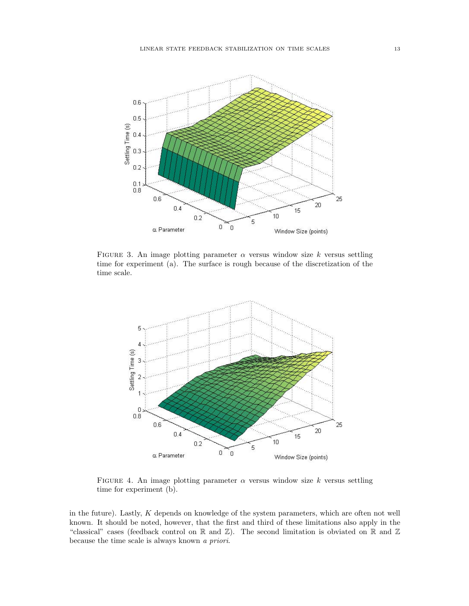

<span id="page-12-0"></span>FIGURE 3. An image plotting parameter  $\alpha$  versus window size k versus settling time for experiment (a). The surface is rough because of the discretization of the time scale.



<span id="page-12-1"></span>FIGURE 4. An image plotting parameter  $\alpha$  versus window size k versus settling time for experiment (b).

in the future). Lastly, K depends on knowledge of the system parameters, which are often not well known. It should be noted, however, that the first and third of these limitations also apply in the "classical" cases (feedback control on R and Z). The second limitation is obviated on R and Z because the time scale is always known a priori.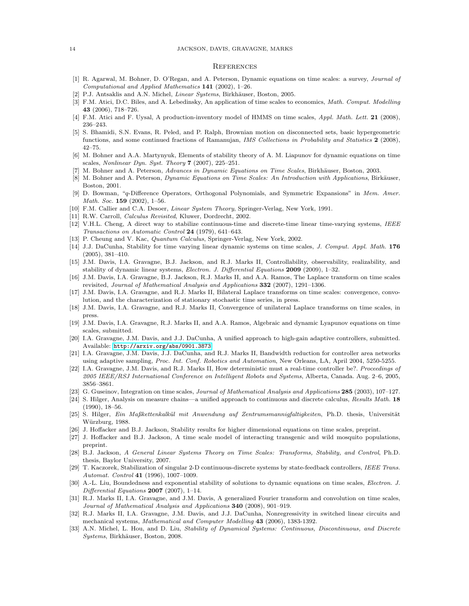#### 14 JACKSON, DAVIS, GRAVAGNE, MARKS

#### **REFERENCES**

- <span id="page-13-24"></span>[1] R. Agarwal, M. Bohner, D. O'Regan, and A. Peterson, Dynamic equations on time scales: a survey, Journal of Computational and Applied Mathematics 141 (2002), 1–26.
- <span id="page-13-0"></span>[2] P.J. Antsaklis and A.N. Michel, *Linear Systems*, Birkhäuser, Boston, 2005.
- <span id="page-13-16"></span>[3] F.M. Atici, D.C. Biles, and A. Lebedinsky, An application of time scales to economics, Math. Comput. Modelling 43 (2006), 718–726.
- <span id="page-13-17"></span>[4] F.M. Atici and F. Uysal, A production-inventory model of HMMS on time scales, Appl. Math. Lett. 21 (2008), 236–243.
- <span id="page-13-15"></span>[5] S. Bhamidi, S.N. Evans, R. Peled, and P. Ralph, Brownian motion on disconnected sets, basic hypergeometric functions, and some continued fractions of Ramanujan, IMS Collections in Probability and Statistics 2 (2008), 42–75.
- <span id="page-13-10"></span>[6] M. Bohner and A.A. Martynyuk, Elements of stability theory of A. M. Liapunov for dynamic equations on time scales, Nonlinear Dyn. Syst. Theory 7 (2007), 225–251.
- <span id="page-13-23"></span>[7] M. Bohner and A. Peterson, Advances in Dynamic Equations on Time Scales, Birkhäuser, Boston, 2003.
- <span id="page-13-22"></span>[8] M. Bohner and A. Peterson, Dynamic Equations on Time Scales: An Introduction with Applications, Birkäuser, Boston, 2001.
- <span id="page-13-25"></span>[9] D. Bowman, "q-Difference Operators, Orthogonal Polynomials, and Symmetric Expansions" in Mem. Amer. Math. Soc. 159 (2002), 1–56.
- <span id="page-13-1"></span>[10] F.M. Callier and C.A. Desoer, Linear System Theory, Springer-Verlag, New York, 1991.
- <span id="page-13-26"></span>[11] R.W. Carroll, Calculus Revisited, Kluwer, Dordrecht, 2002.
- <span id="page-13-32"></span>[12] V.H.L. Cheng, A direct way to stabilize continuous-time and discrete-time linear time-varying systems, IEEE Transactions on Automatic Control 24 (1979), 641–643.
- <span id="page-13-27"></span>[13] P. Cheung and V. Kac, Quantum Calculus, Springer-Verlag, New York, 2002.
- <span id="page-13-8"></span>[14] J.J. DaCunha, Stability for time varying linear dynamic systems on time scales, J. Comput. Appl. Math. 176 (2005), 381–410.
- <span id="page-13-2"></span>[15] J.M. Davis, I.A. Gravagne, B.J. Jackson, and R.J. Marks II, Controllability, observability, realizability, and stability of dynamic linear systems, Electron. J. Differential Equations 2009 (2009), 1–32.
- <span id="page-13-4"></span>[16] J.M. Davis, I.A. Gravagne, B.J. Jackson, R.J. Marks II, and A.A. Ramos, The Laplace transform on time scales revisited, Journal of Mathematical Analysis and Applications 332 (2007), 1291–1306.
- <span id="page-13-5"></span>[17] J.M. Davis, I.A. Gravagne, and R.J. Marks II, Bilateral Laplace transforms on time scales: convergence, convolution, and the characterization of stationary stochastic time series, in press.
- <span id="page-13-6"></span>[18] J.M. Davis, I.A. Gravagne, and R.J. Marks II, Convergence of unilateral Laplace transforms on time scales, in press.
- <span id="page-13-9"></span>[19] J.M. Davis, I.A. Gravagne, R.J. Marks II, and A.A. Ramos, Algebraic and dynamic Lyapunov equations on time scales, submitted.
- <span id="page-13-11"></span>[20] I.A. Gravagne, J.M. Davis, and J.J. DaCunha, A unified approach to high-gain adaptive controllers, submitted. Available: <http://arxiv.org/abs/0901.3873>
- <span id="page-13-12"></span>[21] I.A. Gravagne, J.M. Davis, J.J. DaCunha, and R.J. Marks II, Bandwidth reduction for controller area networks using adaptive sampling, Proc. Int. Conf. Robotics and Automation, New Orleans, LA, April 2004, 5250-5255.
- <span id="page-13-13"></span>[22] I.A. Gravagne, J.M. Davis, and R.J. Marks II, How deterministic must a real-time controller be?. Proceedings of 2005 IEEE/RSJ International Conference on Intelligent Robots and Systems, Alberta, Canada. Aug. 2–6, 2005, 3856–3861.
- <span id="page-13-28"></span>[23] G. Guseinov, Integration on time scales, Journal of Mathematical Analysis and Applications 285 (2003), 107–127.
- <span id="page-13-20"></span>[24] S. Hilger, Analysis on measure chains—a unified approach to continuous and discrete calculus, Results Math. 18 (1990), 18–56.
- <span id="page-13-19"></span>[25] S. Hilger, Ein Maßkettenkalkül mit Anwendung auf Zentrumsmannigfaltigkeiten, Ph.D. thesis, Universität Würzburg, 1988.
- <span id="page-13-29"></span>[26] J. Hoffacker and B.J. Jackson, Stability results for higher dimensional equations on time scales, preprint.
- <span id="page-13-30"></span>[27] J. Hoffacker and B.J. Jackson, A time scale model of interacting transgenic and wild mosquito populations, preprint.
- <span id="page-13-3"></span>[28] B.J. Jackson, A General Linear Systems Theory on Time Scales: Transforms, Stability, and Control, Ph.D. thesis, Baylor University, 2007.
- <span id="page-13-18"></span>[29] T. Kaczorek, Stabilization of singular 2-D continuous-discrete systems by state-feedback controllers, IEEE Trans. Automat. Control 41 (1996), 1007–1009.
- <span id="page-13-31"></span>[30] A.-L. Liu, Boundedness and exponential stability of solutions to dynamic equations on time scales, *Electron. J.* Differential Equations  $2007$  (2007), 1-14.
- <span id="page-13-7"></span>[31] R.J. Marks II, I.A. Gravagne, and J.M. Davis, A generalized Fourier transform and convolution on time scales, Journal of Mathematical Analysis and Applications 340 (2008), 901–919.
- <span id="page-13-14"></span>[32] R.J. Marks II, I.A. Gravagne, J.M. Davis, and J.J. DaCunha, Nonregressivity in switched linear circuits and mechanical systems, Mathematical and Computer Modelling 43 (2006), 1383-1392.
- <span id="page-13-21"></span>[33] A.N. Michel, L. Hou, and D. Liu, Stability of Dynamical Systems: Continuous, Discontinuous, and Discrete Systems, Birkhäuser, Boston, 2008.